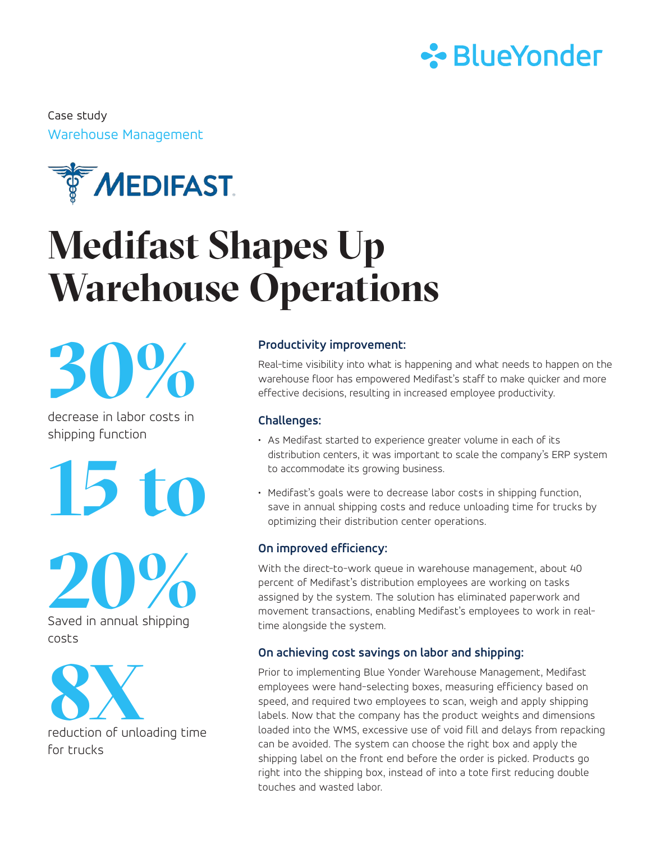

Warehouse Management Case study



# **Medifast Shapes Up Warehouse Operations**

**30%**

decrease in labor costs in shipping function

**15 to**

**20%** Saved in annual shipping costs



for trucks

### **Productivity improvement:**

Real-time visibility into what is happening and what needs to happen on the warehouse floor has empowered Medifast's staff to make quicker and more effective decisions, resulting in increased employee productivity.

#### **Challenges:**

- As Medifast started to experience greater volume in each of its distribution centers, it was important to scale the company's ERP system to accommodate its growing business.
- Medifast's goals were to decrease labor costs in shipping function, save in annual shipping costs and reduce unloading time for trucks by optimizing their distribution center operations.

#### **On improved efficiency:**

With the direct-to-work queue in warehouse management, about 40 percent of Medifast's distribution employees are working on tasks assigned by the system. The solution has eliminated paperwork and movement transactions, enabling Medifast's employees to work in realtime alongside the system.

#### **On achieving cost savings on labor and shipping:**

Prior to implementing Blue Yonder Warehouse Management, Medifast employees were hand-selecting boxes, measuring efficiency based on speed, and required two employees to scan, weigh and apply shipping labels. Now that the company has the product weights and dimensions loaded into the WMS, excessive use of void fill and delays from repacking can be avoided. The system can choose the right box and apply the shipping label on the front end before the order is picked. Products go right into the shipping box, instead of into a tote first reducing double touches and wasted labor.